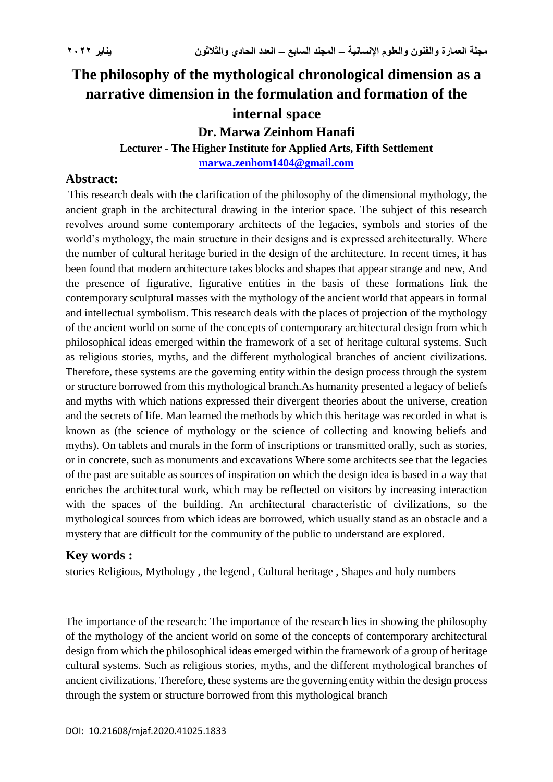# **The philosophy of the mythological chronological dimension as a narrative dimension in the formulation and formation of the internal space Dr. Marwa Zeinhom Hanafi**

**Lecturer - The Higher Institute for Applied Arts, Fifth Settlement**

**[marwa.zenhom1404@gmail.com](mailto:marwa.zenhom1404@gmail.com)**

## **Abstract:**

This research deals with the clarification of the philosophy of the dimensional mythology, the ancient graph in the architectural drawing in the interior space. The subject of this research revolves around some contemporary architects of the legacies, symbols and stories of the world's mythology, the main structure in their designs and is expressed architecturally. Where the number of cultural heritage buried in the design of the architecture. In recent times, it has been found that modern architecture takes blocks and shapes that appear strange and new, And the presence of figurative, figurative entities in the basis of these formations link the contemporary sculptural masses with the mythology of the ancient world that appears in formal and intellectual symbolism. This research deals with the places of projection of the mythology of the ancient world on some of the concepts of contemporary architectural design from which philosophical ideas emerged within the framework of a set of heritage cultural systems. Such as religious stories, myths, and the different mythological branches of ancient civilizations. Therefore, these systems are the governing entity within the design process through the system or structure borrowed from this mythological branch.As humanity presented a legacy of beliefs and myths with which nations expressed their divergent theories about the universe, creation and the secrets of life. Man learned the methods by which this heritage was recorded in what is known as (the science of mythology or the science of collecting and knowing beliefs and myths). On tablets and murals in the form of inscriptions or transmitted orally, such as stories, or in concrete, such as monuments and excavations Where some architects see that the legacies of the past are suitable as sources of inspiration on which the design idea is based in a way that enriches the architectural work, which may be reflected on visitors by increasing interaction with the spaces of the building. An architectural characteristic of civilizations, so the mythological sources from which ideas are borrowed, which usually stand as an obstacle and a mystery that are difficult for the community of the public to understand are explored.

## **Key words :**

stories Religious, Mythology , the legend , Cultural heritage , Shapes and holy numbers

The importance of the research: The importance of the research lies in showing the philosophy of the mythology of the ancient world on some of the concepts of contemporary architectural design from which the philosophical ideas emerged within the framework of a group of heritage cultural systems. Such as religious stories, myths, and the different mythological branches of ancient civilizations. Therefore, these systems are the governing entity within the design process through the system or structure borrowed from this mythological branch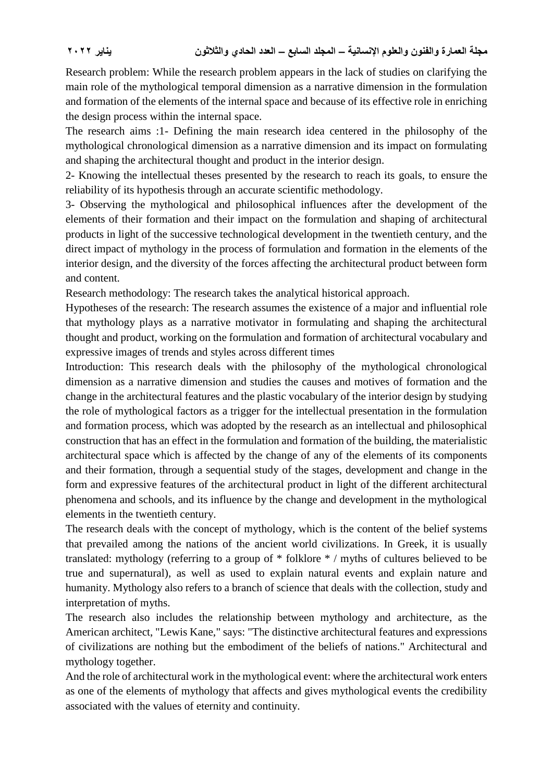Research problem: While the research problem appears in the lack of studies on clarifying the main role of the mythological temporal dimension as a narrative dimension in the formulation and formation of the elements of the internal space and because of its effective role in enriching the design process within the internal space.

The research aims :1- Defining the main research idea centered in the philosophy of the mythological chronological dimension as a narrative dimension and its impact on formulating and shaping the architectural thought and product in the interior design.

2- Knowing the intellectual theses presented by the research to reach its goals, to ensure the reliability of its hypothesis through an accurate scientific methodology.

3- Observing the mythological and philosophical influences after the development of the elements of their formation and their impact on the formulation and shaping of architectural products in light of the successive technological development in the twentieth century, and the direct impact of mythology in the process of formulation and formation in the elements of the interior design, and the diversity of the forces affecting the architectural product between form and content.

Research methodology: The research takes the analytical historical approach.

Hypotheses of the research: The research assumes the existence of a major and influential role that mythology plays as a narrative motivator in formulating and shaping the architectural thought and product, working on the formulation and formation of architectural vocabulary and expressive images of trends and styles across different times

Introduction: This research deals with the philosophy of the mythological chronological dimension as a narrative dimension and studies the causes and motives of formation and the change in the architectural features and the plastic vocabulary of the interior design by studying the role of mythological factors as a trigger for the intellectual presentation in the formulation and formation process, which was adopted by the research as an intellectual and philosophical construction that has an effect in the formulation and formation of the building, the materialistic architectural space which is affected by the change of any of the elements of its components and their formation, through a sequential study of the stages, development and change in the form and expressive features of the architectural product in light of the different architectural phenomena and schools, and its influence by the change and development in the mythological elements in the twentieth century.

The research deals with the concept of mythology, which is the content of the belief systems that prevailed among the nations of the ancient world civilizations. In Greek, it is usually translated: mythology (referring to a group of \* folklore \* / myths of cultures believed to be true and supernatural), as well as used to explain natural events and explain nature and humanity. Mythology also refers to a branch of science that deals with the collection, study and interpretation of myths.

The research also includes the relationship between mythology and architecture, as the American architect, "Lewis Kane," says: "The distinctive architectural features and expressions of civilizations are nothing but the embodiment of the beliefs of nations." Architectural and mythology together.

And the role of architectural work in the mythological event: where the architectural work enters as one of the elements of mythology that affects and gives mythological events the credibility associated with the values of eternity and continuity.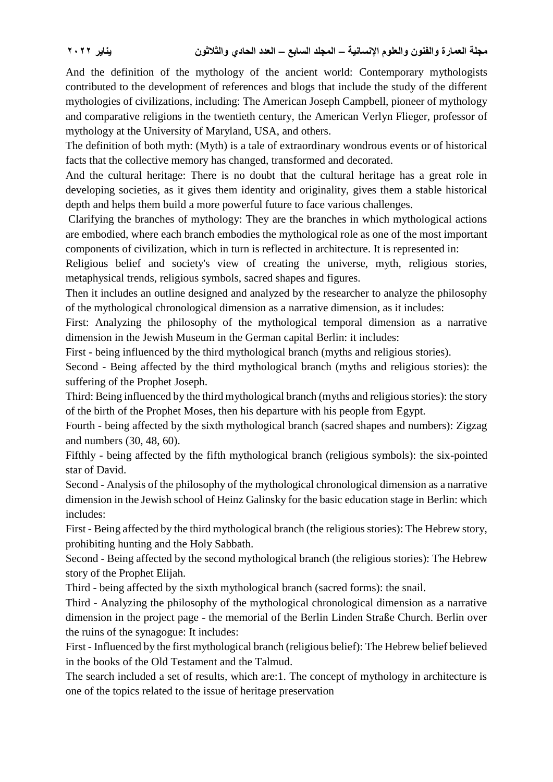And the definition of the mythology of the ancient world: Contemporary mythologists contributed to the development of references and blogs that include the study of the different mythologies of civilizations, including: The American Joseph Campbell, pioneer of mythology and comparative religions in the twentieth century, the American Verlyn Flieger, professor of mythology at the University of Maryland, USA, and others.

The definition of both myth: (Myth) is a tale of extraordinary wondrous events or of historical facts that the collective memory has changed, transformed and decorated.

And the cultural heritage: There is no doubt that the cultural heritage has a great role in developing societies, as it gives them identity and originality, gives them a stable historical depth and helps them build a more powerful future to face various challenges.

Clarifying the branches of mythology: They are the branches in which mythological actions are embodied, where each branch embodies the mythological role as one of the most important components of civilization, which in turn is reflected in architecture. It is represented in:

Religious belief and society's view of creating the universe, myth, religious stories, metaphysical trends, religious symbols, sacred shapes and figures.

Then it includes an outline designed and analyzed by the researcher to analyze the philosophy of the mythological chronological dimension as a narrative dimension, as it includes:

First: Analyzing the philosophy of the mythological temporal dimension as a narrative dimension in the Jewish Museum in the German capital Berlin: it includes:

First - being influenced by the third mythological branch (myths and religious stories).

Second - Being affected by the third mythological branch (myths and religious stories): the suffering of the Prophet Joseph.

Third: Being influenced by the third mythological branch (myths and religious stories): the story of the birth of the Prophet Moses, then his departure with his people from Egypt.

Fourth - being affected by the sixth mythological branch (sacred shapes and numbers): Zigzag and numbers (30, 48, 60).

Fifthly - being affected by the fifth mythological branch (religious symbols): the six-pointed star of David.

Second - Analysis of the philosophy of the mythological chronological dimension as a narrative dimension in the Jewish school of Heinz Galinsky for the basic education stage in Berlin: which includes:

First - Being affected by the third mythological branch (the religious stories): The Hebrew story, prohibiting hunting and the Holy Sabbath.

Second - Being affected by the second mythological branch (the religious stories): The Hebrew story of the Prophet Elijah.

Third - being affected by the sixth mythological branch (sacred forms): the snail.

Third - Analyzing the philosophy of the mythological chronological dimension as a narrative dimension in the project page - the memorial of the Berlin Linden Straße Church. Berlin over the ruins of the synagogue: It includes:

First - Influenced by the first mythological branch (religious belief): The Hebrew belief believed in the books of the Old Testament and the Talmud.

The search included a set of results, which are:1. The concept of mythology in architecture is one of the topics related to the issue of heritage preservation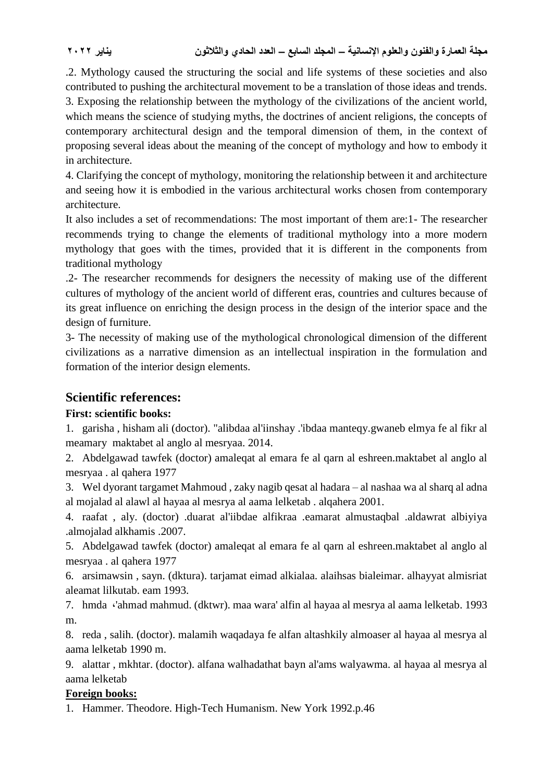.2. Mythology caused the structuring the social and life systems of these societies and also contributed to pushing the architectural movement to be a translation of those ideas and trends. 3. Exposing the relationship between the mythology of the civilizations of the ancient world, which means the science of studying myths, the doctrines of ancient religions, the concepts of contemporary architectural design and the temporal dimension of them, in the context of proposing several ideas about the meaning of the concept of mythology and how to embody it in architecture.

4. Clarifying the concept of mythology, monitoring the relationship between it and architecture and seeing how it is embodied in the various architectural works chosen from contemporary architecture.

It also includes a set of recommendations: The most important of them are:1- The researcher recommends trying to change the elements of traditional mythology into a more modern mythology that goes with the times, provided that it is different in the components from traditional mythology

.2- The researcher recommends for designers the necessity of making use of the different cultures of mythology of the ancient world of different eras, countries and cultures because of its great influence on enriching the design process in the design of the interior space and the design of furniture.

3- The necessity of making use of the mythological chronological dimension of the different civilizations as a narrative dimension as an intellectual inspiration in the formulation and formation of the interior design elements.

## **Scientific references:**

## **First: scientific books:**

1. garisha , hisham ali (doctor). "alibdaa al'iinshay .'ibdaa manteqy.gwaneb elmya fe al fikr al meamary maktabet al anglo al mesryaa. 2014.

2. Abdelgawad tawfek (doctor) amaleqat al emara fe al qarn al eshreen.maktabet al anglo al mesryaa . al qahera 1977

3. Wel dyorant targamet Mahmoud , zaky nagib qesat al hadara – al nashaa wa al sharq al adna al mojalad al alawl al hayaa al mesrya al aama lelketab . alqahera 2001.

4. raafat , aly. (doctor) .duarat al'iibdae alfikraa .eamarat almustaqbal .aldawrat albiyiya .almojalad alkhamis .2007.

5. Abdelgawad tawfek (doctor) amaleqat al emara fe al qarn al eshreen.maktabet al anglo al mesryaa . al qahera 1977

6. arsimawsin , sayn. (dktura). tarjamat eimad alkialaa. alaihsas bialeimar. alhayyat almisriat aleamat lilkutab. eam 1993.

7. hmda ،'ahmad mahmud. (dktwr). maa wara' alfin al hayaa al mesrya al aama lelketab. 1993 m.

8. reda , salih. (doctor). malamih waqadaya fe alfan altashkily almoaser al hayaa al mesrya al aama lelketab 1990 m.

9. alattar , mkhtar. (doctor). alfana walhadathat bayn al'ams walyawma. al hayaa al mesrya al aama lelketab

## **Foreign books:**

1. Hammer. Theodore. High-Tech Humanism. New York 1992.p.46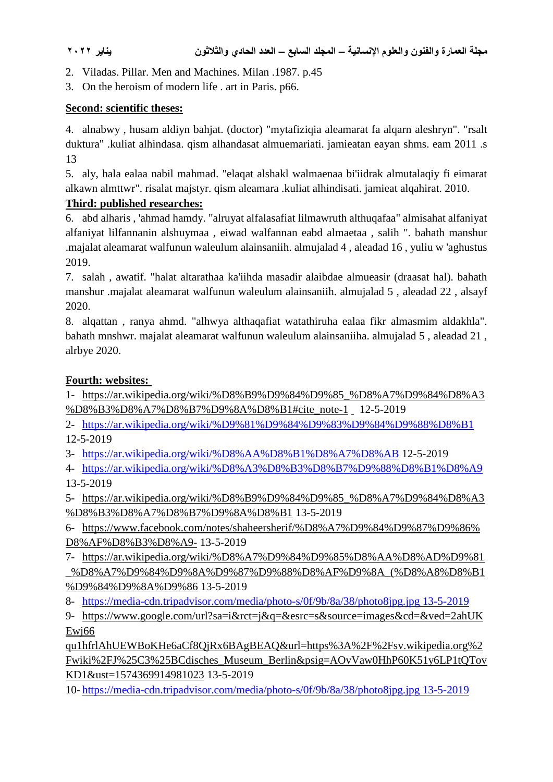- 2. Viladas. Pillar. Men and Machines. Milan .1987. p.45
- 3. On the heroism of modern life . art in Paris. p66.

#### **Second: scientific theses:**

4. alnabwy , husam aldiyn bahjat. (doctor) "mytafiziqia aleamarat fa alqarn aleshryn". "rsalt duktura" .kuliat alhindasa. qism alhandasat almuemariati. jamieatan eayan shms. eam 2011 .s 13

5. aly, hala ealaa nabil mahmad. "elaqat alshakl walmaenaa bi'iidrak almutalaqiy fi eimarat alkawn almttwr". risalat majstyr. qism aleamara .kuliat alhindisati. jamieat alqahirat. 2010.

## **Third: published researches:**

6. abd alharis , 'ahmad hamdy. "alruyat alfalasafiat lilmawruth althuqafaa" almisahat alfaniyat alfaniyat lilfannanin alshuymaa , eiwad walfannan eabd almaetaa , salih ". bahath manshur .majalat aleamarat walfunun waleulum alainsaniih. almujalad 4 , aleadad 16 , yuliu w 'aghustus 2019.

7. salah , awatif. "halat altarathaa ka'iihda masadir alaibdae almueasir (draasat hal). bahath manshur .majalat aleamarat walfunun waleulum alainsaniih. almujalad 5 , aleadad 22 , alsayf 2020.

8. alqattan , ranya ahmd. "alhwya althaqafiat watathiruha ealaa fikr almasmim aldakhla". bahath mnshwr. majalat aleamarat walfunun waleulum alainsaniiha. almujalad 5 , aleadad 21 , alrbye 2020.

## **Fourth: websites:**

1- [https://ar.wikipedia.org/wiki/%D8%B9%D9%84%D9%85\\_%D8%A7%D9%84%D8%A3](https://ar.wikipedia.org/wiki/%D8%B9%D9%84%D9%85_%D8%A7%D9%84%D8%A3%D8%B3%D8%A7%D8%B7%D9%8A%D8%B1#cite_note-1) [%D8%B3%D8%A7%D8%B7%D9%8A%D8%B1#cite\\_note-1](https://ar.wikipedia.org/wiki/%D8%B9%D9%84%D9%85_%D8%A7%D9%84%D8%A3%D8%B3%D8%A7%D8%B7%D9%8A%D8%B1#cite_note-1) 12-5-2019

2- <https://ar.wikipedia.org/wiki/%D9%81%D9%84%D9%83%D9%84%D9%88%D8%B1> 12-5-2019

3- <https://ar.wikipedia.org/wiki/%D8%AA%D8%B1%D8%A7%D8%AB> 12-5-2019

4- <https://ar.wikipedia.org/wiki/%D8%A3%D8%B3%D8%B7%D9%88%D8%B1%D8%A9> 13-5-2019

5- [https://ar.wikipedia.org/wiki/%D8%B9%D9%84%D9%85\\_%D8%A7%D9%84%D8%A3](https://ar.wikipedia.org/wiki/%D8%B9%D9%84%D9%85_%D8%A7%D9%84%D8%A3%D8%B3%D8%A7%D8%B7%D9%8A%D8%B1) [%D8%B3%D8%A7%D8%B7%D9%8A%D8%B1](https://ar.wikipedia.org/wiki/%D8%B9%D9%84%D9%85_%D8%A7%D9%84%D8%A3%D8%B3%D8%A7%D8%B7%D9%8A%D8%B1) 13-5-2019

6- [https://www.facebook.com/notes/shaheersherif/%D8%A7%D9%84%D9%87%D9%86%](https://www.facebook.com/notes/shaheersherif/%D8%A7%D9%84%D9%87%D9%86%D8%AF%D8%B3%D8%A9-) [D8%AF%D8%B3%D8%A9-](https://www.facebook.com/notes/shaheersherif/%D8%A7%D9%84%D9%87%D9%86%D8%AF%D8%B3%D8%A9-) 13-5-2019

7- [https://ar.wikipedia.org/wiki/%D8%A7%D9%84%D9%85%D8%AA%D8%AD%D9%81](https://ar.wikipedia.org/wiki/%D8%A7%D9%84%D9%85%D8%AA%D8%AD%D9%81_%D8%A7%D9%84%D9%8A%D9%87%D9%88%D8%AF%D9%8A_(%D8%A8%D8%B1%D9%84%D9%8A%D9%86) [\\_%D8%A7%D9%84%D9%8A%D9%87%D9%88%D8%AF%D9%8A\\_\(%D8%A8%D8%B1](https://ar.wikipedia.org/wiki/%D8%A7%D9%84%D9%85%D8%AA%D8%AD%D9%81_%D8%A7%D9%84%D9%8A%D9%87%D9%88%D8%AF%D9%8A_(%D8%A8%D8%B1%D9%84%D9%8A%D9%86) [%D9%84%D9%8A%D9%86](https://ar.wikipedia.org/wiki/%D8%A7%D9%84%D9%85%D8%AA%D8%AD%D9%81_%D8%A7%D9%84%D9%8A%D9%87%D9%88%D8%AF%D9%8A_(%D8%A8%D8%B1%D9%84%D9%8A%D9%86) 13-5-2019

8- [https://media-cdn.tripadvisor.com/media/photo-s/0f/9b/8a/38/photo8jpg.jpg 13-5-2019](https://media-cdn.tripadvisor.com/media/photo-s/0f/9b/8a/38/photo8jpg.jpg%2013-5-2019)

9- https://www.google.com/url?sa=i&rct=j&q=&esrc=s&source=images&cd=&ved=2ahUK Ewj66

qu1hfrlAhUEWBoKHe6aCf8QjRx6BAgBEAQ&url=https%3A%2F%2Fsv.wikipedia.org%2 Fwiki%2FJ%25C3%25BCdisches\_Museum\_Berlin&psig=AOvVaw0HhP60K51y6LP1tQTov KD1&ust=1574369914981023 13-5-2019

10- [https://media-cdn.tripadvisor.com/media/photo-s/0f/9b/8a/38/photo8jpg.jpg 13-5-2019](https://media-cdn.tripadvisor.com/media/photo-s/0f/9b/8a/38/photo8jpg.jpg%2013-5-2019)